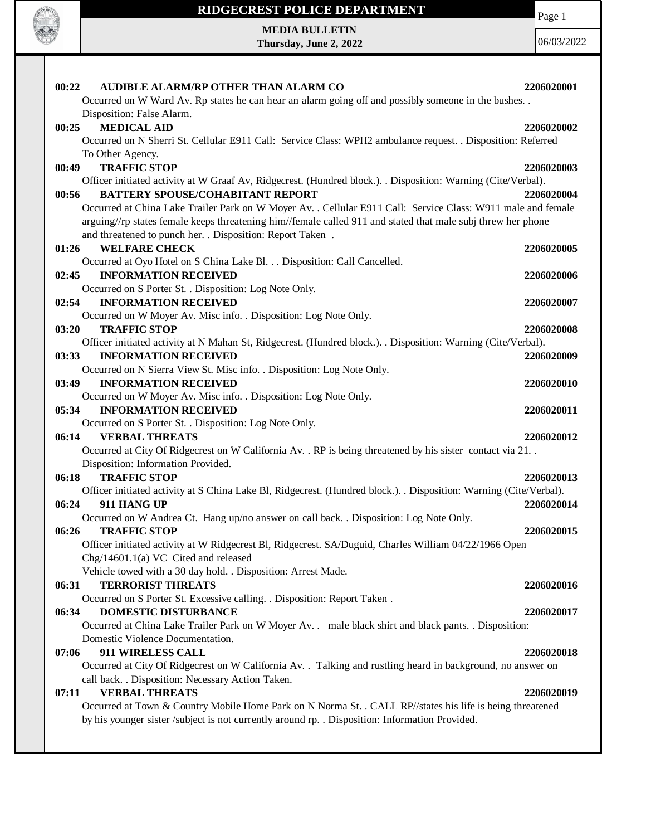

**MEDIA BULLETIN Thursday, June 2, 2022** Page 1

| AUDIBLE ALARM/RP OTHER THAN ALARM CO<br>00:22                                                                      | 2206020001 |
|--------------------------------------------------------------------------------------------------------------------|------------|
| Occurred on W Ward Av. Rp states he can hear an alarm going off and possibly someone in the bushes. .              |            |
| Disposition: False Alarm.                                                                                          |            |
| 00:25<br><b>MEDICAL AID</b>                                                                                        | 2206020002 |
| Occurred on N Sherri St. Cellular E911 Call: Service Class: WPH2 ambulance request. . Disposition: Referred        |            |
| To Other Agency.                                                                                                   |            |
| <b>TRAFFIC STOP</b><br>00:49                                                                                       | 2206020003 |
| Officer initiated activity at W Graaf Av, Ridgecrest. (Hundred block.). . Disposition: Warning (Cite/Verbal).      |            |
| <b>BATTERY SPOUSE/COHABITANT REPORT</b><br>00:56                                                                   | 2206020004 |
| Occurred at China Lake Trailer Park on W Moyer Av. . Cellular E911 Call: Service Class: W911 male and female       |            |
| arguing//rp states female keeps threatening him//female called 911 and stated that male subj threw her phone       |            |
| and threatened to punch her. . Disposition: Report Taken .                                                         |            |
| <b>WELFARE CHECK</b><br>01:26                                                                                      | 2206020005 |
| Occurred at Oyo Hotel on S China Lake Bl. Disposition: Call Cancelled.                                             |            |
| 02:45<br><b>INFORMATION RECEIVED</b>                                                                               | 2206020006 |
| Occurred on S Porter St. . Disposition: Log Note Only.                                                             |            |
| <b>INFORMATION RECEIVED</b><br>02:54                                                                               | 2206020007 |
| Occurred on W Moyer Av. Misc info. . Disposition: Log Note Only.                                                   |            |
| <b>TRAFFIC STOP</b><br>03:20                                                                                       | 2206020008 |
| Officer initiated activity at N Mahan St, Ridgecrest. (Hundred block.). . Disposition: Warning (Cite/Verbal).      |            |
| <b>INFORMATION RECEIVED</b><br>03:33                                                                               | 2206020009 |
| Occurred on N Sierra View St. Misc info. . Disposition: Log Note Only.                                             |            |
| 03:49<br><b>INFORMATION RECEIVED</b>                                                                               | 2206020010 |
| Occurred on W Moyer Av. Misc info. . Disposition: Log Note Only.                                                   |            |
| <b>INFORMATION RECEIVED</b><br>05:34                                                                               | 2206020011 |
| Occurred on S Porter St. . Disposition: Log Note Only.                                                             |            |
| 06:14<br><b>VERBAL THREATS</b>                                                                                     | 2206020012 |
| Occurred at City Of Ridgecrest on W California Av. . RP is being threatened by his sister contact via 21. .        |            |
| Disposition: Information Provided.                                                                                 |            |
| <b>TRAFFIC STOP</b><br>06:18                                                                                       | 2206020013 |
| Officer initiated activity at S China Lake Bl, Ridgecrest. (Hundred block.). . Disposition: Warning (Cite/Verbal). |            |
| 911 HANG UP<br>06:24                                                                                               | 2206020014 |
| Occurred on W Andrea Ct. Hang up/no answer on call back. . Disposition: Log Note Only.                             |            |
| 06:26<br><b>TRAFFIC STOP</b>                                                                                       | 2206020015 |
| Officer initiated activity at W Ridgecrest Bl, Ridgecrest. SA/Duguid, Charles William 04/22/1966 Open              |            |
| Chg/14601.1(a) VC Cited and released                                                                               |            |
| Vehicle towed with a 30 day hold. . Disposition: Arrest Made.                                                      |            |
| 06:31<br><b>TERRORIST THREATS</b>                                                                                  | 2206020016 |
| Occurred on S Porter St. Excessive calling. . Disposition: Report Taken.                                           |            |
| DOMESTIC DISTURBANCE<br>06:34                                                                                      | 2206020017 |
| Occurred at China Lake Trailer Park on W Moyer Av. . male black shirt and black pants. . Disposition:              |            |
| Domestic Violence Documentation.                                                                                   |            |
| 911 WIRELESS CALL<br>07:06                                                                                         | 2206020018 |
| Occurred at City Of Ridgecrest on W California Av. . Talking and rustling heard in background, no answer on        |            |
| call back. . Disposition: Necessary Action Taken.                                                                  |            |
| <b>VERBAL THREATS</b><br>07:11                                                                                     | 2206020019 |
| Occurred at Town & Country Mobile Home Park on N Norma St. . CALL RP//states his life is being threatened          |            |
| by his younger sister /subject is not currently around rp. . Disposition: Information Provided.                    |            |
|                                                                                                                    |            |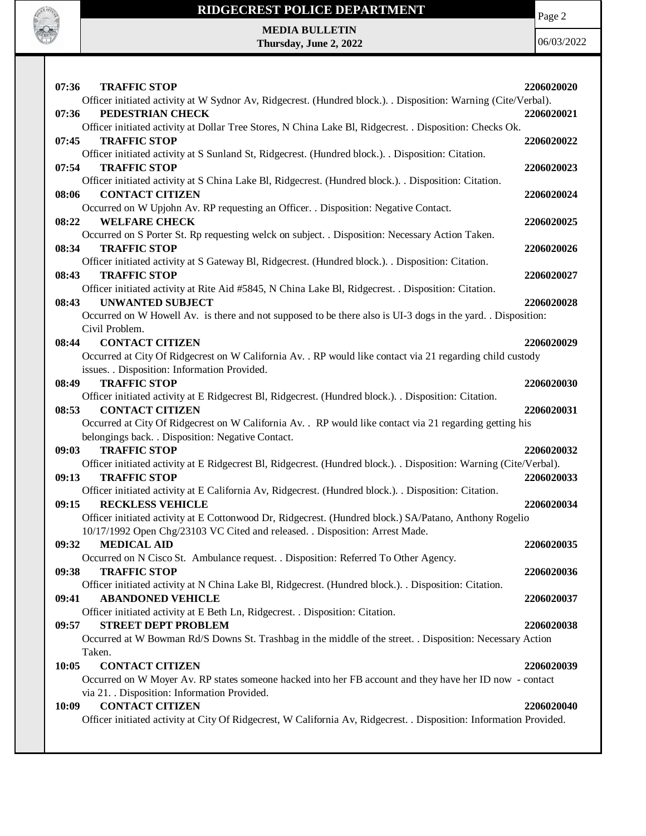

Page 2

**MEDIA BULLETIN Thursday, June 2, 2022**

| 07:36 | <b>TRAFFIC STOP</b>                                                                                                                           | 2206020020 |
|-------|-----------------------------------------------------------------------------------------------------------------------------------------------|------------|
|       | Officer initiated activity at W Sydnor Av, Ridgecrest. (Hundred block.). Disposition: Warning (Cite/Verbal).                                  |            |
| 07:36 | PEDESTRIAN CHECK                                                                                                                              | 2206020021 |
|       | Officer initiated activity at Dollar Tree Stores, N China Lake Bl, Ridgecrest. . Disposition: Checks Ok.                                      |            |
| 07:45 | <b>TRAFFIC STOP</b>                                                                                                                           | 2206020022 |
|       | Officer initiated activity at S Sunland St, Ridgecrest. (Hundred block.). . Disposition: Citation.                                            |            |
| 07:54 | <b>TRAFFIC STOP</b>                                                                                                                           | 2206020023 |
|       | Officer initiated activity at S China Lake Bl, Ridgecrest. (Hundred block.). Disposition: Citation.                                           |            |
| 08:06 | <b>CONTACT CITIZEN</b>                                                                                                                        | 2206020024 |
|       | Occurred on W Upjohn Av. RP requesting an Officer. . Disposition: Negative Contact.                                                           |            |
| 08:22 | <b>WELFARE CHECK</b>                                                                                                                          | 2206020025 |
|       | Occurred on S Porter St. Rp requesting welck on subject. . Disposition: Necessary Action Taken.                                               |            |
| 08:34 | <b>TRAFFIC STOP</b>                                                                                                                           | 2206020026 |
|       | Officer initiated activity at S Gateway Bl, Ridgecrest. (Hundred block.). . Disposition: Citation.                                            |            |
| 08:43 | <b>TRAFFIC STOP</b>                                                                                                                           | 2206020027 |
|       | Officer initiated activity at Rite Aid #5845, N China Lake Bl, Ridgecrest. . Disposition: Citation.                                           |            |
| 08:43 | <b>UNWANTED SUBJECT</b>                                                                                                                       | 2206020028 |
|       | Occurred on W Howell Av. is there and not supposed to be there also is UI-3 dogs in the yard. Disposition:                                    |            |
|       | Civil Problem.                                                                                                                                |            |
| 08:44 | <b>CONTACT CITIZEN</b>                                                                                                                        | 2206020029 |
|       | Occurred at City Of Ridgecrest on W California Av. . RP would like contact via 21 regarding child custody                                     |            |
|       | issues. . Disposition: Information Provided.                                                                                                  |            |
| 08:49 | <b>TRAFFIC STOP</b>                                                                                                                           | 2206020030 |
|       | Officer initiated activity at E Ridgecrest Bl, Ridgecrest. (Hundred block.). . Disposition: Citation.                                         |            |
| 08:53 |                                                                                                                                               |            |
|       | <b>CONTACT CITIZEN</b>                                                                                                                        | 2206020031 |
|       | Occurred at City Of Ridgecrest on W California Av. . RP would like contact via 21 regarding getting his                                       |            |
|       | belongings back. . Disposition: Negative Contact.                                                                                             |            |
| 09:03 | <b>TRAFFIC STOP</b>                                                                                                                           | 2206020032 |
|       | Officer initiated activity at E Ridgecrest Bl, Ridgecrest. (Hundred block.). . Disposition: Warning (Cite/Verbal).                            |            |
| 09:13 | <b>TRAFFIC STOP</b>                                                                                                                           | 2206020033 |
|       | Officer initiated activity at E California Av, Ridgecrest. (Hundred block.). . Disposition: Citation.                                         |            |
| 09:15 | <b>RECKLESS VEHICLE</b>                                                                                                                       | 2206020034 |
|       | Officer initiated activity at E Cottonwood Dr, Ridgecrest. (Hundred block.) SA/Patano, Anthony Rogelio                                        |            |
|       | 10/17/1992 Open Chg/23103 VC Cited and released. . Disposition: Arrest Made.                                                                  |            |
| 09:32 | <b>MEDICAL AID</b>                                                                                                                            | 2206020035 |
|       | Occurred on N Cisco St. Ambulance request. . Disposition: Referred To Other Agency.                                                           |            |
| 09:38 | <b>TRAFFIC STOP</b>                                                                                                                           | 2206020036 |
|       | Officer initiated activity at N China Lake Bl, Ridgecrest. (Hundred block.). . Disposition: Citation.                                         |            |
| 09:41 | <b>ABANDONED VEHICLE</b>                                                                                                                      | 2206020037 |
|       | Officer initiated activity at E Beth Ln, Ridgecrest. . Disposition: Citation.                                                                 |            |
| 09:57 | <b>STREET DEPT PROBLEM</b>                                                                                                                    | 2206020038 |
|       | Occurred at W Bowman Rd/S Downs St. Trashbag in the middle of the street. . Disposition: Necessary Action                                     |            |
|       | Taken.                                                                                                                                        |            |
| 10:05 | <b>CONTACT CITIZEN</b>                                                                                                                        | 2206020039 |
|       | Occurred on W Moyer Av. RP states someone hacked into her FB account and they have her ID now - contact                                       |            |
|       | via 21. Disposition: Information Provided.                                                                                                    |            |
| 10:09 | <b>CONTACT CITIZEN</b><br>Officer initiated activity at City Of Ridgecrest, W California Av, Ridgecrest. . Disposition: Information Provided. | 2206020040 |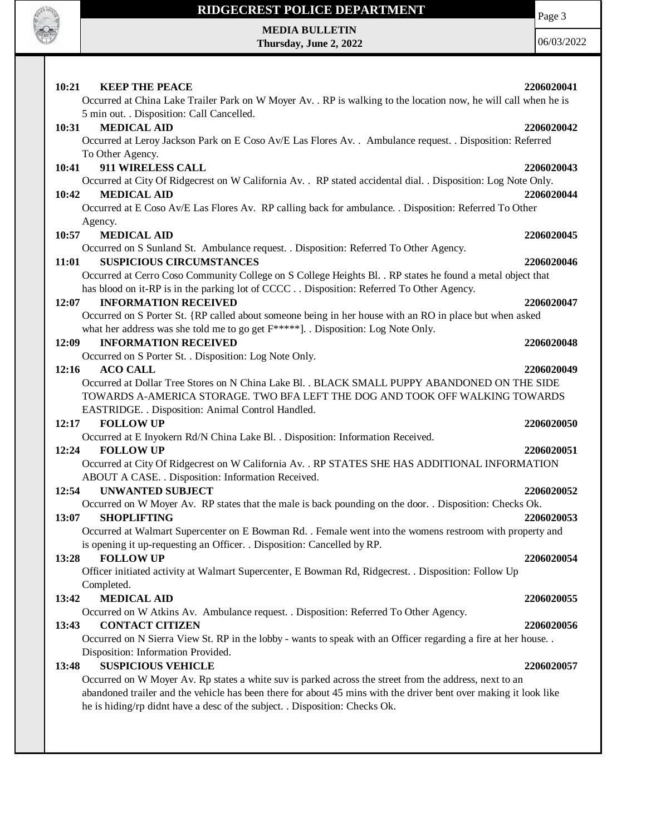

# **RIDGECREST POLICE DEPARTMENT MEDIA BULLETIN**

**Thursday, June 2, 2022**

Page 3

| 10:21<br><b>KEEP THE PEACE</b>                                                                                   | 2206020041 |
|------------------------------------------------------------------------------------------------------------------|------------|
| Occurred at China Lake Trailer Park on W Moyer Av. . RP is walking to the location now, he will call when he is  |            |
| 5 min out. . Disposition: Call Cancelled.                                                                        |            |
| 10:31<br><b>MEDICAL AID</b>                                                                                      | 2206020042 |
| Occurred at Leroy Jackson Park on E Coso Av/E Las Flores Av. . Ambulance request. . Disposition: Referred        |            |
| To Other Agency.                                                                                                 |            |
| 911 WIRELESS CALL<br>10:41                                                                                       | 2206020043 |
| Occurred at City Of Ridgecrest on W California Av. . RP stated accidental dial. . Disposition: Log Note Only.    |            |
| <b>MEDICAL AID</b><br>10:42                                                                                      | 2206020044 |
| Occurred at E Coso Av/E Las Flores Av. RP calling back for ambulance. . Disposition: Referred To Other           |            |
| Agency.                                                                                                          |            |
| <b>MEDICAL AID</b><br>10:57                                                                                      | 2206020045 |
| Occurred on S Sunland St. Ambulance request. . Disposition: Referred To Other Agency.                            |            |
| <b>SUSPICIOUS CIRCUMSTANCES</b><br>11:01                                                                         | 2206020046 |
| Occurred at Cerro Coso Community College on S College Heights Bl. . RP states he found a metal object that       |            |
| has blood on it-RP is in the parking lot of CCCC Disposition: Referred To Other Agency.                          |            |
| <b>INFORMATION RECEIVED</b><br>12:07                                                                             | 2206020047 |
| Occurred on S Porter St. {RP called about someone being in her house with an RO in place but when asked          |            |
| what her address was she told me to go get $F^{****}$ ]. . Disposition: Log Note Only.                           |            |
| 12:09<br><b>INFORMATION RECEIVED</b>                                                                             | 2206020048 |
| Occurred on S Porter St. . Disposition: Log Note Only.                                                           |            |
| 12:16<br><b>ACO CALL</b>                                                                                         | 2206020049 |
| Occurred at Dollar Tree Stores on N China Lake Bl. . BLACK SMALL PUPPY ABANDONED ON THE SIDE                     |            |
| TOWARDS A-AMERICA STORAGE. TWO BFA LEFT THE DOG AND TOOK OFF WALKING TOWARDS                                     |            |
| EASTRIDGE. . Disposition: Animal Control Handled.                                                                |            |
| <b>FOLLOW UP</b><br>12:17                                                                                        | 2206020050 |
| Occurred at E Inyokern Rd/N China Lake Bl. . Disposition: Information Received.                                  |            |
| <b>FOLLOW UP</b><br>12:24                                                                                        | 2206020051 |
| Occurred at City Of Ridgecrest on W California Av. . RP STATES SHE HAS ADDITIONAL INFORMATION                    |            |
| ABOUT A CASE. . Disposition: Information Received.                                                               |            |
| <b>UNWANTED SUBJECT</b><br>12:54                                                                                 | 2206020052 |
| Occurred on W Moyer Av. RP states that the male is back pounding on the door. . Disposition: Checks Ok.          |            |
| 13:07<br><b>SHOPLIFTING</b>                                                                                      | 2206020053 |
| Occurred at Walmart Supercenter on E Bowman Rd. . Female went into the womens restroom with property and         |            |
| is opening it up-requesting an Officer. . Disposition: Cancelled by RP.                                          |            |
| 13:28<br><b>FOLLOW UP</b>                                                                                        | 2206020054 |
| Officer initiated activity at Walmart Supercenter, E Bowman Rd, Ridgecrest. . Disposition: Follow Up             |            |
| Completed.                                                                                                       |            |
| <b>MEDICAL AID</b><br>13:42                                                                                      | 2206020055 |
| Occurred on W Atkins Av. Ambulance request. . Disposition: Referred To Other Agency.                             |            |
| 13:43<br><b>CONTACT CITIZEN</b>                                                                                  | 2206020056 |
| Occurred on N Sierra View St. RP in the lobby - wants to speak with an Officer regarding a fire at her house     |            |
| Disposition: Information Provided.                                                                               |            |
| <b>SUSPICIOUS VEHICLE</b><br>13:48                                                                               | 2206020057 |
| Occurred on W Moyer Av. Rp states a white suv is parked across the street from the address, next to an           |            |
| abandoned trailer and the vehicle has been there for about 45 mins with the driver bent over making it look like |            |
| he is hiding/rp didnt have a desc of the subject. . Disposition: Checks Ok.                                      |            |
|                                                                                                                  |            |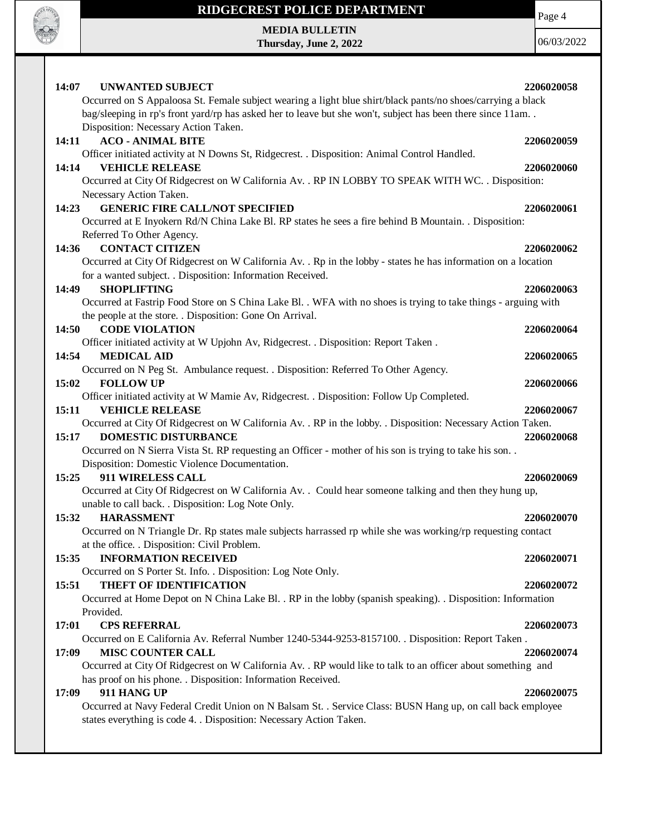

Page 4

**MEDIA BULLETIN Thursday, June 2, 2022**

| 14:07<br>UNWANTED SUBJECT                                                                                      | 2206020058 |
|----------------------------------------------------------------------------------------------------------------|------------|
| Occurred on S Appaloosa St. Female subject wearing a light blue shirt/black pants/no shoes/carrying a black    |            |
| bag/sleeping in rp's front yard/rp has asked her to leave but she won't, subject has been there since 11am     |            |
| Disposition: Necessary Action Taken.                                                                           |            |
| 14:11<br><b>ACO - ANIMAL BITE</b>                                                                              | 2206020059 |
| Officer initiated activity at N Downs St, Ridgecrest. . Disposition: Animal Control Handled.                   |            |
| <b>VEHICLE RELEASE</b><br>14:14                                                                                | 2206020060 |
| Occurred at City Of Ridgecrest on W California Av. . RP IN LOBBY TO SPEAK WITH WC. . Disposition:              |            |
| Necessary Action Taken.<br><b>GENERIC FIRE CALL/NOT SPECIFIED</b>                                              |            |
| 14:23<br>Occurred at E Inyokern Rd/N China Lake Bl. RP states he sees a fire behind B Mountain. . Disposition: | 2206020061 |
| Referred To Other Agency.                                                                                      |            |
| <b>CONTACT CITIZEN</b><br>14:36                                                                                | 2206020062 |
| Occurred at City Of Ridgecrest on W California Av. . Rp in the lobby - states he has information on a location |            |
| for a wanted subject. . Disposition: Information Received.                                                     |            |
| 14:49<br><b>SHOPLIFTING</b>                                                                                    | 2206020063 |
| Occurred at Fastrip Food Store on S China Lake Bl. . WFA with no shoes is trying to take things - arguing with |            |
| the people at the store. . Disposition: Gone On Arrival.                                                       |            |
| 14:50<br><b>CODE VIOLATION</b>                                                                                 | 2206020064 |
| Officer initiated activity at W Upjohn Av, Ridgecrest. . Disposition: Report Taken.                            |            |
| <b>MEDICAL AID</b><br>14:54                                                                                    | 2206020065 |
| Occurred on N Peg St. Ambulance request. . Disposition: Referred To Other Agency.                              |            |
| <b>FOLLOW UP</b><br>15:02                                                                                      | 2206020066 |
| Officer initiated activity at W Mamie Av, Ridgecrest. . Disposition: Follow Up Completed.                      |            |
| <b>VEHICLE RELEASE</b><br>15:11                                                                                | 2206020067 |
| Occurred at City Of Ridgecrest on W California Av. . RP in the lobby. . Disposition: Necessary Action Taken.   |            |
| <b>DOMESTIC DISTURBANCE</b><br>15:17                                                                           | 2206020068 |
| Occurred on N Sierra Vista St. RP requesting an Officer - mother of his son is trying to take his son          |            |
| Disposition: Domestic Violence Documentation.                                                                  |            |
| 15:25<br>911 WIRELESS CALL                                                                                     | 2206020069 |
| Occurred at City Of Ridgecrest on W California Av. . Could hear someone talking and then they hung up,         |            |
| unable to call back. . Disposition: Log Note Only.                                                             |            |
| <b>HARASSMENT</b><br>15:32                                                                                     | 2206020070 |
| Occurred on N Triangle Dr. Rp states male subjects harrassed rp while she was working/rp requesting contact    |            |
| at the office. . Disposition: Civil Problem.                                                                   |            |
| <b>INFORMATION RECEIVED</b><br>15:35                                                                           | 2206020071 |
| Occurred on S Porter St. Info. . Disposition: Log Note Only.                                                   |            |
| 15:51<br><b>THEFT OF IDENTIFICATION</b>                                                                        | 2206020072 |
| Occurred at Home Depot on N China Lake Bl. . RP in the lobby (spanish speaking). . Disposition: Information    |            |
| Provided.                                                                                                      |            |
| <b>CPS REFERRAL</b><br>17:01                                                                                   | 2206020073 |
| Occurred on E California Av. Referral Number 1240-5344-9253-8157100. . Disposition: Report Taken.              |            |
| <b>MISC COUNTER CALL</b><br>17:09                                                                              | 2206020074 |
| Occurred at City Of Ridgecrest on W California Av. . RP would like to talk to an officer about something and   |            |
| has proof on his phone. . Disposition: Information Received.<br>911 HANG UP<br>17:09                           | 2206020075 |
| Occurred at Navy Federal Credit Union on N Balsam St. . Service Class: BUSN Hang up, on call back employee     |            |
| states everything is code 4. . Disposition: Necessary Action Taken.                                            |            |
|                                                                                                                |            |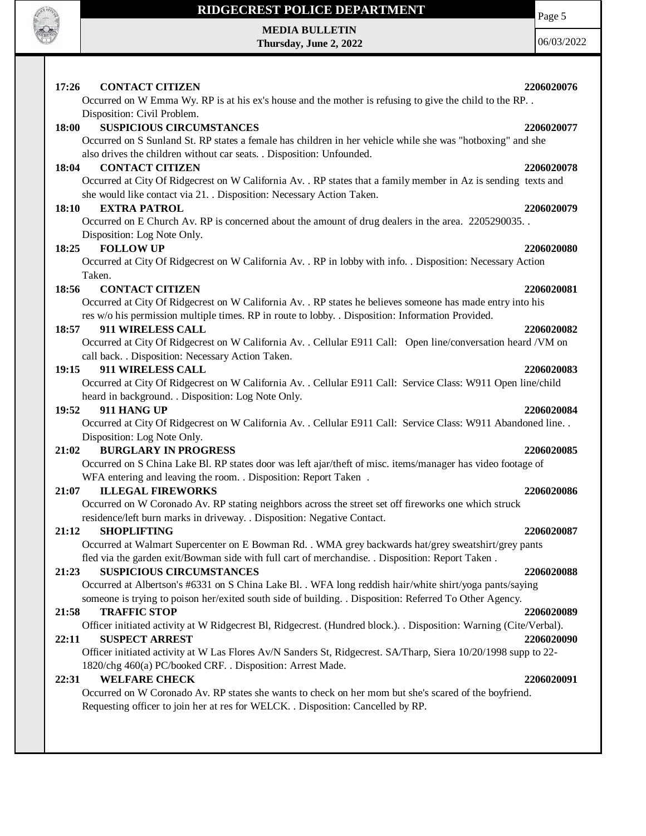

I

# **RIDGECREST POLICE DEPARTMENT**

#### **MEDIA BULLETIN Thursday, June 2, 2022**

06/03/2022

Page 5

| 17:26 | <b>CONTACT CITIZEN</b>                                                                                                                                                          | 2206020076 |
|-------|---------------------------------------------------------------------------------------------------------------------------------------------------------------------------------|------------|
|       | Occurred on W Emma Wy. RP is at his ex's house and the mother is refusing to give the child to the RP                                                                           |            |
|       | Disposition: Civil Problem.                                                                                                                                                     |            |
| 18:00 | <b>SUSPICIOUS CIRCUMSTANCES</b>                                                                                                                                                 | 2206020077 |
|       | Occurred on S Sunland St. RP states a female has children in her vehicle while she was "hotboxing" and she                                                                      |            |
|       | also drives the children without car seats. . Disposition: Unfounded.                                                                                                           |            |
| 18:04 | <b>CONTACT CITIZEN</b>                                                                                                                                                          | 2206020078 |
|       | Occurred at City Of Ridgecrest on W California Av. . RP states that a family member in Az is sending texts and                                                                  |            |
|       | she would like contact via 21. . Disposition: Necessary Action Taken.                                                                                                           |            |
| 18:10 | <b>EXTRA PATROL</b>                                                                                                                                                             | 2206020079 |
|       | Occurred on E Church Av. RP is concerned about the amount of drug dealers in the area. 2205290035.                                                                              |            |
|       | Disposition: Log Note Only.                                                                                                                                                     |            |
| 18:25 | <b>FOLLOW UP</b>                                                                                                                                                                | 2206020080 |
|       | Occurred at City Of Ridgecrest on W California Av. . RP in lobby with info. . Disposition: Necessary Action                                                                     |            |
|       | Taken.                                                                                                                                                                          |            |
| 18:56 | <b>CONTACT CITIZEN</b>                                                                                                                                                          | 2206020081 |
|       | Occurred at City Of Ridgecrest on W California Av. . RP states he believes someone has made entry into his                                                                      |            |
|       | res w/o his permission multiple times. RP in route to lobby. . Disposition: Information Provided.                                                                               |            |
| 18:57 | 911 WIRELESS CALL                                                                                                                                                               | 2206020082 |
|       | Occurred at City Of Ridgecrest on W California Av. . Cellular E911 Call: Open line/conversation heard /VM on                                                                    |            |
|       | call back. . Disposition: Necessary Action Taken.                                                                                                                               |            |
| 19:15 | 911 WIRELESS CALL                                                                                                                                                               | 2206020083 |
|       | Occurred at City Of Ridgecrest on W California Av. . Cellular E911 Call: Service Class: W911 Open line/child                                                                    |            |
|       | heard in background. . Disposition: Log Note Only.                                                                                                                              |            |
| 19:52 | 911 HANG UP                                                                                                                                                                     | 2206020084 |
|       | Occurred at City Of Ridgecrest on W California Av. . Cellular E911 Call: Service Class: W911 Abandoned line. .                                                                  |            |
|       | Disposition: Log Note Only.                                                                                                                                                     |            |
| 21:02 | <b>BURGLARY IN PROGRESS</b>                                                                                                                                                     | 2206020085 |
|       | Occurred on S China Lake Bl. RP states door was left ajar/theft of misc. items/manager has video footage of                                                                     |            |
|       | WFA entering and leaving the room. . Disposition: Report Taken .<br><b>ILLEGAL FIREWORKS</b>                                                                                    |            |
| 21:07 |                                                                                                                                                                                 | 2206020086 |
|       | Occurred on W Coronado Av. RP stating neighbors across the street set off fireworks one which struck<br>residence/left burn marks in driveway. . Disposition: Negative Contact. |            |
| 21:12 | <b>SHOPLIFTING</b>                                                                                                                                                              | 2206020087 |
|       | Occurred at Walmart Supercenter on E Bowman Rd. . WMA grey backwards hat/grey sweatshirt/grey pants                                                                             |            |
|       | fled via the garden exit/Bowman side with full cart of merchandise. . Disposition: Report Taken.                                                                                |            |
| 21:23 | <b>SUSPICIOUS CIRCUMSTANCES</b>                                                                                                                                                 | 2206020088 |
|       | Occurred at Albertson's #6331 on S China Lake Bl. . WFA long reddish hair/white shirt/yoga pants/saying                                                                         |            |
|       | someone is trying to poison her/exited south side of building. . Disposition: Referred To Other Agency.                                                                         |            |
| 21:58 | <b>TRAFFIC STOP</b>                                                                                                                                                             | 2206020089 |
|       | Officer initiated activity at W Ridgecrest Bl, Ridgecrest. (Hundred block.). Disposition: Warning (Cite/Verbal).                                                                |            |
| 22:11 | <b>SUSPECT ARREST</b>                                                                                                                                                           | 2206020090 |
|       | Officer initiated activity at W Las Flores Av/N Sanders St, Ridgecrest. SA/Tharp, Siera 10/20/1998 supp to 22-                                                                  |            |
|       | 1820/chg 460(a) PC/booked CRF. . Disposition: Arrest Made.                                                                                                                      |            |
| 22:31 | <b>WELFARE CHECK</b>                                                                                                                                                            | 2206020091 |
|       | Occurred on W Coronado Av. RP states she wants to check on her mom but she's scared of the boyfriend.                                                                           |            |
|       | Requesting officer to join her at res for WELCK. . Disposition: Cancelled by RP.                                                                                                |            |
|       |                                                                                                                                                                                 |            |